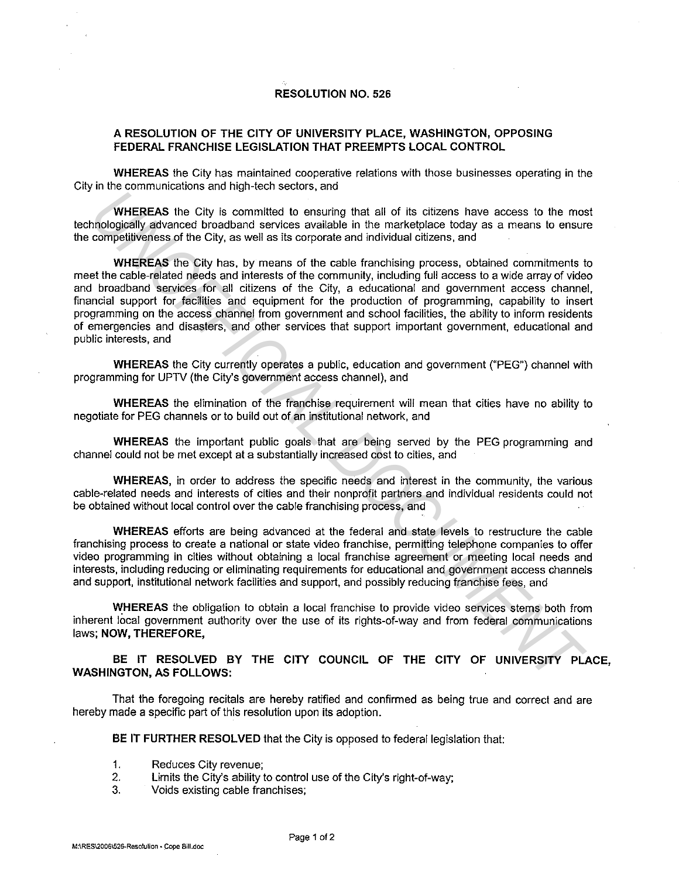## **RESOLUTION NO. 526**

## **A RESOLUTION OF THE CITY OF UNIVERSITY PLACE, WASHINGTON, OPPOSING FEDERAL FRANCHISE LEGISLATION THAT PREEMPTS LOCAL CONTROL**

**WHEREAS** the City has maintained cooperative relations with those businesses operating in the City in the communications and high-tech sectors, and

**WHEREAS** the City is committed to ensuring that all of its citizens have access to the most technologically advanced broadband services available in the marketplace today as a means to ensure the competitiveness of the City, as well as its corporate and individual citizens, and

**WHEREAS** the City has, by means of the cable franchising process, obtained commitments to meet the cable-related needs and interests of the community, including full access to a wide array of video and broadband services for all citizens of the City, a educational and government access channel, financial support for facilities and equipment for the production of programming, capability to insert programming on the access channel from government and school facilities, the ability to inform residents of emergencies and disasters, and other services that support important government, educational and public interests, and **WHEREAS** the City is committed to ensuring that all of its citizens have access to the mean<br>competitiveness of the City, as well as its conporter entirely the mean tephetic entery as a means to ensure<br>competitiveness of t

**WHEREAS** the City currently operates a public, education and government ("PEG") channel with programming for UPTV (the City's government access channel), and

**WHEREAS** the elimination of the franchise requirement will mean that cities have no ability to negotiate for PEG channels or to build out of an institutional network, and

**WHEREAS** the important public goals that are being served by the PEG programming and channel could not be met except at a substantially increased cost to cities, and

**WHEREAS,** in order to address the specific needs and interest in the community, the various cable-related needs and interests of cities and their nonprofit partners and individual residents could not be obtained without local control over the cable franchising process, and

**WHEREAS** efforts are being advanced at the federal and state levels to restructure the cable franchising process to create a national or state video franchise, permitting telephone companies to offer video programming in cities without obtaining a local franchise agreement or meeting local needs and interests, including reducing or eliminating requirements for educational and government access channels and support, institutional network facilities and support, and possibly reducing franchise fees, and

**WHEREAS** the obligation to obtain a local franchise to provide video services stems both from inherent local government authority over the use of its rights-of-way and from federal communications laws; **NOW, THEREFORE,** 

**BE IT RESOLVED BY THE CITY COUNCIL OF THE CITY OF UNIVERSITY PLACE, WASHINGTON, AS FOLLOWS:** 

That the foregoing recitals are hereby ratified and confirmed as being true and correct and are hereby made a specific part of this resolution upon its adoption.

**BE IT FURTHER RESOLVED** that the City is opposed to federal legislation that:

- 1. Reduces City revenue;
- 2. Limits the City's ability to control use of the City's right-of-way;
- 3. Voids existing cable franchises;